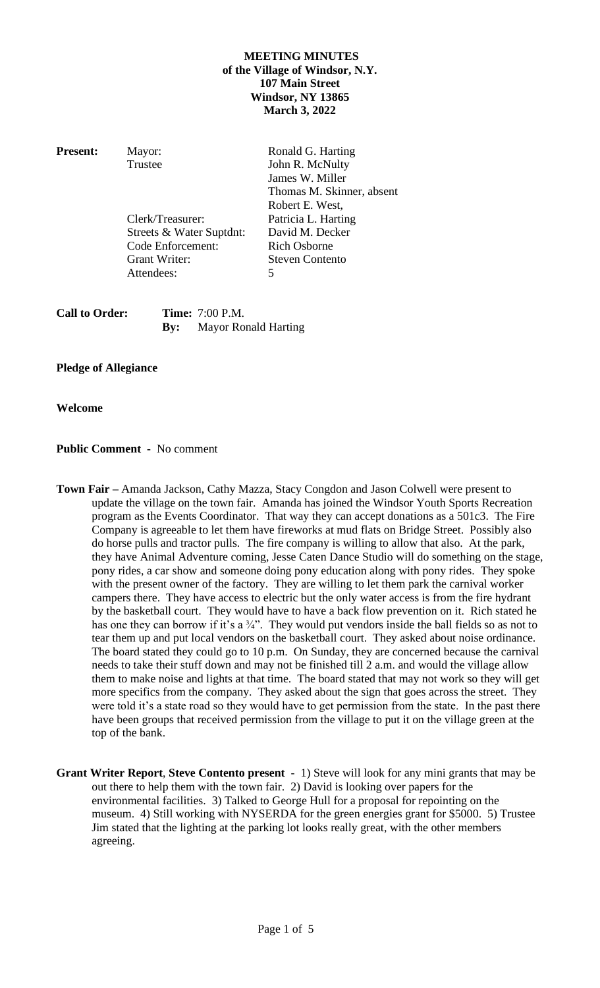# **MEETING MINUTES of the Village of Windsor, N.Y. 107 Main Street Windsor, NY 13865 March 3, 2022**

| <b>Present:</b> | Mayor:                   | Ronald G. Harting         |
|-----------------|--------------------------|---------------------------|
|                 | Trustee                  | John R. McNulty           |
|                 |                          | James W. Miller           |
|                 |                          | Thomas M. Skinner, absent |
|                 |                          | Robert E. West,           |
|                 | Clerk/Treasurer:         | Patricia L. Harting       |
|                 | Streets & Water Suptdnt: | David M. Decker           |
|                 | Code Enforcement:        | <b>Rich Osborne</b>       |
|                 | <b>Grant Writer:</b>     | <b>Steven Contento</b>    |
|                 | Attendees:               |                           |

| <b>Call to Order:</b> |     | <b>Time:</b> 7:00 P.M. |
|-----------------------|-----|------------------------|
|                       | By: | Mayor Ronald Harting   |

# **Pledge of Allegiance**

## **Welcome**

# **Public Comment -** No comment

- **Town Fair –** Amanda Jackson, Cathy Mazza, Stacy Congdon and Jason Colwell were present to update the village on the town fair. Amanda has joined the Windsor Youth Sports Recreation program as the Events Coordinator. That way they can accept donations as a 501c3. The Fire Company is agreeable to let them have fireworks at mud flats on Bridge Street. Possibly also do horse pulls and tractor pulls. The fire company is willing to allow that also. At the park, they have Animal Adventure coming, Jesse Caten Dance Studio will do something on the stage, pony rides, a car show and someone doing pony education along with pony rides. They spoke with the present owner of the factory. They are willing to let them park the carnival worker campers there. They have access to electric but the only water access is from the fire hydrant by the basketball court. They would have to have a back flow prevention on it. Rich stated he has one they can borrow if it's a  $\frac{3}{4}$ ". They would put vendors inside the ball fields so as not to tear them up and put local vendors on the basketball court. They asked about noise ordinance. The board stated they could go to 10 p.m. On Sunday, they are concerned because the carnival needs to take their stuff down and may not be finished till 2 a.m. and would the village allow them to make noise and lights at that time. The board stated that may not work so they will get more specifics from the company. They asked about the sign that goes across the street. They were told it's a state road so they would have to get permission from the state. In the past there have been groups that received permission from the village to put it on the village green at the top of the bank.
- **Grant Writer Report**, **Steve Contento present** 1) Steve will look for any mini grants that may be out there to help them with the town fair. 2) David is looking over papers for the environmental facilities. 3) Talked to George Hull for a proposal for repointing on the museum. 4) Still working with NYSERDA for the green energies grant for \$5000. 5) Trustee Jim stated that the lighting at the parking lot looks really great, with the other members agreeing.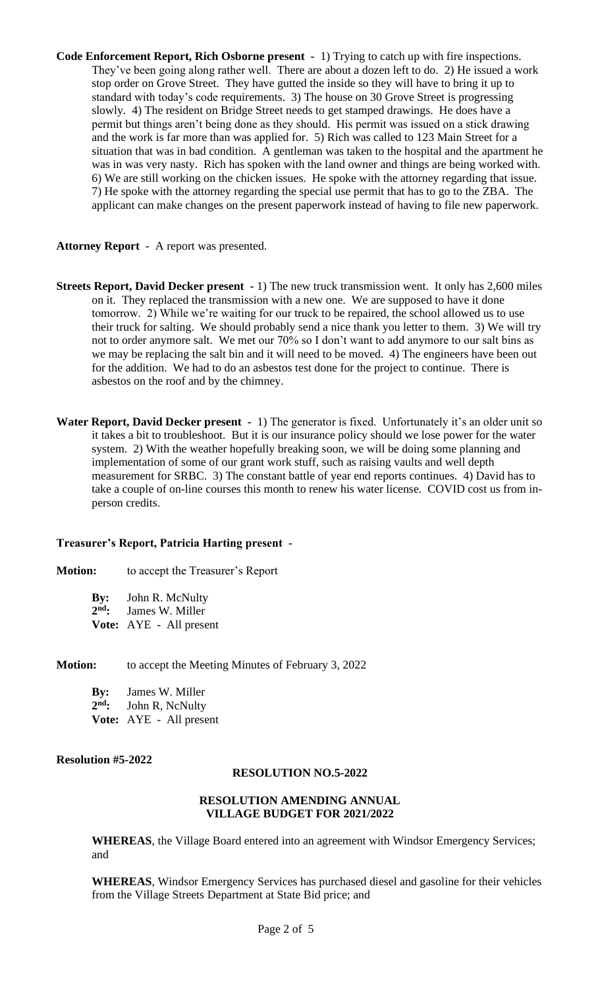**Code Enforcement Report, Rich Osborne present -** 1) Trying to catch up with fire inspections. They've been going along rather well. There are about a dozen left to do. 2) He issued a work stop order on Grove Street. They have gutted the inside so they will have to bring it up to standard with today's code requirements. 3) The house on 30 Grove Street is progressing slowly. 4) The resident on Bridge Street needs to get stamped drawings. He does have a permit but things aren't being done as they should. His permit was issued on a stick drawing and the work is far more than was applied for. 5) Rich was called to 123 Main Street for a situation that was in bad condition. A gentleman was taken to the hospital and the apartment he was in was very nasty. Rich has spoken with the land owner and things are being worked with. 6) We are still working on the chicken issues. He spoke with the attorney regarding that issue. 7) He spoke with the attorney regarding the special use permit that has to go to the ZBA. The applicant can make changes on the present paperwork instead of having to file new paperwork.

### **Attorney Report** - A report was presented.

- **Streets Report, David Decker present -** 1) The new truck transmission went. It only has 2,600 miles on it. They replaced the transmission with a new one. We are supposed to have it done tomorrow. 2) While we're waiting for our truck to be repaired, the school allowed us to use their truck for salting. We should probably send a nice thank you letter to them. 3) We will try not to order anymore salt. We met our 70% so I don't want to add anymore to our salt bins as we may be replacing the salt bin and it will need to be moved. 4) The engineers have been out for the addition. We had to do an asbestos test done for the project to continue. There is asbestos on the roof and by the chimney.
- Water Report, David Decker present 1) The generator is fixed. Unfortunately it's an older unit so it takes a bit to troubleshoot. But it is our insurance policy should we lose power for the water system. 2) With the weather hopefully breaking soon, we will be doing some planning and implementation of some of our grant work stuff, such as raising vaults and well depth measurement for SRBC. 3) The constant battle of year end reports continues. 4) David has to take a couple of on-line courses this month to renew his water license. COVID cost us from inperson credits.

## **Treasurer's Report, Patricia Harting present -**

## **Motion:** to accept the Treasurer's Report

| $\mathbf{By:}$ | John R. McNulty                |  |  |  |
|----------------|--------------------------------|--|--|--|
| $2nd$ :        | James W. Miller                |  |  |  |
|                | <b>Vote:</b> AYE - All present |  |  |  |

**Motion:** to accept the Meeting Minutes of February 3, 2022

| $\mathbf{By:}$ | James W. Miller         |
|----------------|-------------------------|
| $2nd$ :        | John R, NcNulty         |
|                | Vote: AYE - All present |

## **Resolution #5-2022**

## **RESOLUTION NO.5-2022**

#### **RESOLUTION AMENDING ANNUAL VILLAGE BUDGET FOR 2021/2022**

**WHEREAS**, the Village Board entered into an agreement with Windsor Emergency Services; and

**WHEREAS**, Windsor Emergency Services has purchased diesel and gasoline for their vehicles from the Village Streets Department at State Bid price; and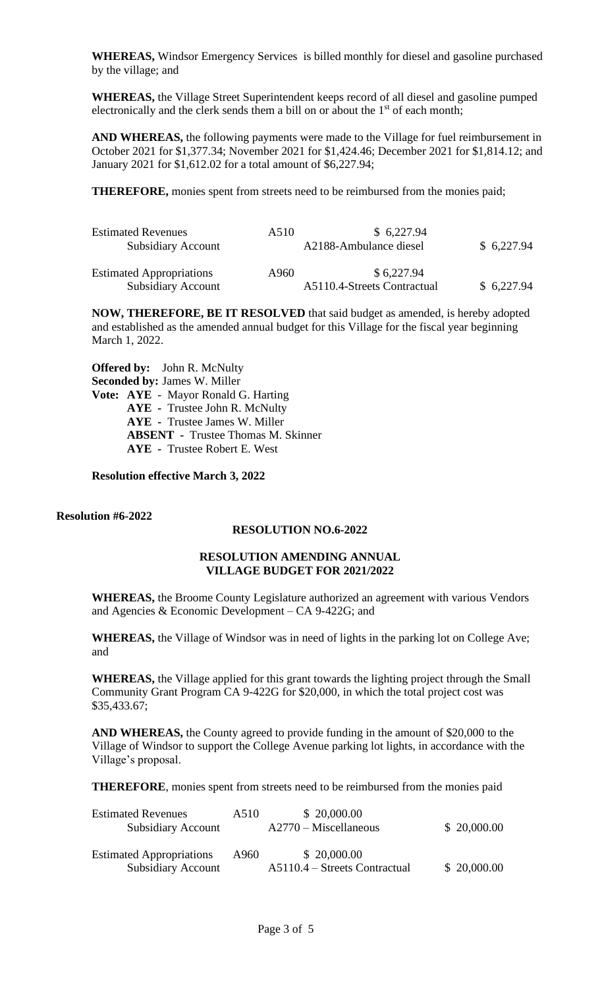**WHEREAS,** Windsor Emergency Services is billed monthly for diesel and gasoline purchased by the village; and

**WHEREAS,** the Village Street Superintendent keeps record of all diesel and gasoline pumped electronically and the clerk sends them a bill on or about the  $1<sup>st</sup>$  of each month;

**AND WHEREAS,** the following payments were made to the Village for fuel reimbursement in October 2021 for \$1,377.34; November 2021 for \$1,424.46; December 2021 for \$1,814.12; and January 2021 for \$1,612.02 for a total amount of \$6,227.94;

**THEREFORE,** monies spent from streets need to be reimbursed from the monies paid;

| <b>Estimated Revenues</b><br><b>Subsidiary Account</b>       | A510 | \$6,227.94<br>A2188-Ambulance diesel      | \$6,227.94 |
|--------------------------------------------------------------|------|-------------------------------------------|------------|
| <b>Estimated Appropriations</b><br><b>Subsidiary Account</b> | A960 | \$6,227.94<br>A5110.4-Streets Contractual | \$6,227.94 |

**NOW, THEREFORE, BE IT RESOLVED** that said budget as amended, is hereby adopted and established as the amended annual budget for this Village for the fiscal year beginning March 1, 2022.

**Offered by:** John R. McNulty **Seconded by:** James W. Miller **Vote: AYE** - Mayor Ronald G. Harting **AYE -** Trustee John R. McNulty **AYE -** Trustee James W. Miller **ABSENT -** Trustee Thomas M. Skinner **AYE -** Trustee Robert E. West

**Resolution effective March 3, 2022**

**Resolution #6-2022**

## **RESOLUTION NO.6-2022**

### **RESOLUTION AMENDING ANNUAL VILLAGE BUDGET FOR 2021/2022**

**WHEREAS,** the Broome County Legislature authorized an agreement with various Vendors and Agencies & Economic Development – CA 9-422G; and

**WHEREAS,** the Village of Windsor was in need of lights in the parking lot on College Ave; and

**WHEREAS,** the Village applied for this grant towards the lighting project through the Small Community Grant Program CA 9-422G for \$20,000, in which the total project cost was \$35,433.67;

**AND WHEREAS,** the County agreed to provide funding in the amount of \$20,000 to the Village of Windsor to support the College Avenue parking lot lights, in accordance with the Village's proposal.

**THEREFORE**, monies spent from streets need to be reimbursed from the monies paid

| <b>Estimated Revenues</b>       | A510                    | \$20,000.00                     |             |
|---------------------------------|-------------------------|---------------------------------|-------------|
| <b>Subsidiary Account</b>       | $A2770 - Miscellaneous$ |                                 | \$20,000.00 |
|                                 |                         |                                 |             |
| <b>Estimated Appropriations</b> | A960                    | \$20,000.00                     |             |
| <b>Subsidiary Account</b>       |                         | $A5110.4 - Streets Contractual$ | \$20,000.00 |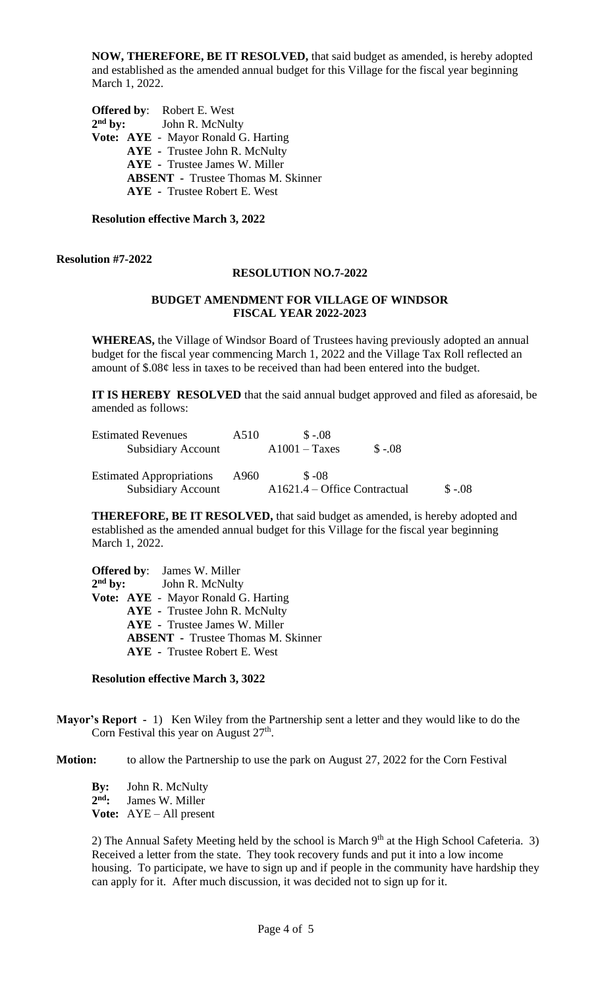**NOW, THEREFORE, BE IT RESOLVED,** that said budget as amended, is hereby adopted and established as the amended annual budget for this Village for the fiscal year beginning March 1, 2022.

**Offered by**: Robert E. West  $2<sup>nd</sup>$  by: **John R. McNulty Vote: AYE** - Mayor Ronald G. Harting **AYE -** Trustee John R. McNulty **AYE -** Trustee James W. Miller **ABSENT -** Trustee Thomas M. Skinner **AYE -** Trustee Robert E. West

**Resolution effective March 3, 2022**

#### **Resolution #7-2022**

#### **RESOLUTION NO.7-2022**

### **BUDGET AMENDMENT FOR VILLAGE OF WINDSOR FISCAL YEAR 2022-2023**

**WHEREAS,** the Village of Windsor Board of Trustees having previously adopted an annual budget for the fiscal year commencing March 1, 2022 and the Village Tax Roll reflected an amount of \$.08¢ less in taxes to be received than had been entered into the budget.

**IT IS HEREBY RESOLVED** that the said annual budget approved and filed as aforesaid, be amended as follows:

| <b>Estimated Revenues</b>       | A510                           | $$ -08$         |         |  |
|---------------------------------|--------------------------------|-----------------|---------|--|
| Subsidiary Account              |                                | $A1001 - Taxes$ | $$-.08$ |  |
| <b>Estimated Appropriations</b> | A960                           | $$ -08$         |         |  |
| <b>Subsidiary Account</b>       | $A1621.4 - Office Contractual$ |                 | $$-.08$ |  |

**THEREFORE, BE IT RESOLVED,** that said budget as amended, is hereby adopted and established as the amended annual budget for this Village for the fiscal year beginning March 1, 2022.

**Offered by**: James W. Miller  $2<sup>nd</sup>$  by: **John R. McNulty Vote: AYE** - Mayor Ronald G. Harting **AYE -** Trustee John R. McNulty **AYE -** Trustee James W. Miller **ABSENT -** Trustee Thomas M. Skinner **AYE -** Trustee Robert E. West

#### **Resolution effective March 3, 3022**

**Mayor's Report -** 1) Ken Wiley from the Partnership sent a letter and they would like to do the Corn Festival this year on August  $27<sup>th</sup>$ .

**Motion:** to allow the Partnership to use the park on August 27, 2022 for the Corn Festival

**By:** John R. McNulty 2<sup>nd</sup>: James W. Miller **Vote:** AYE – All present

2) The Annual Safety Meeting held by the school is March  $9<sup>th</sup>$  at the High School Cafeteria. 3) Received a letter from the state. They took recovery funds and put it into a low income housing. To participate, we have to sign up and if people in the community have hardship they can apply for it. After much discussion, it was decided not to sign up for it.